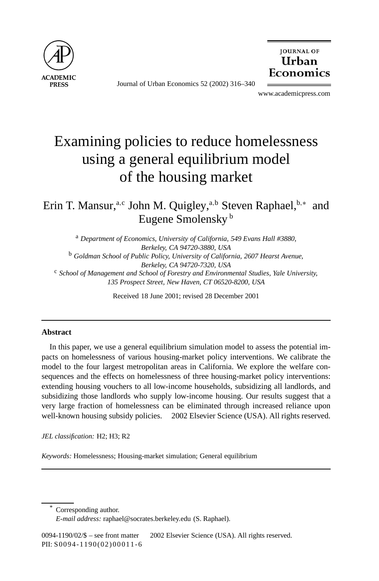

Journal of Urban Economics 52 (2002) 316–340

**JOURNAL OF** Urban Economics

www.academicpress.com

# Examining policies to reduce homelessness using a general equilibrium model of the housing market

Erin T. Mansur,<sup>a,c</sup> John M. Quigley,<sup>a,b</sup> Steven Raphael,<sup>b,\*</sup> and Eugene Smolensky <sup>b</sup>

<sup>a</sup> *Department of Economics, University of California, 549 Evans Hall #3880, Berkeley, CA 94720-3880, USA* <sup>b</sup> *Goldman School of Public Policy, University of California, 2607 Hearst Avenue, Berkeley, CA 94720-7320, USA*<br><sup>c</sup> *School of Management and School of Forestry and Environmental Studies, Yale University, 135 Prospect Street, New Haven, CT 06520-8200, USA*

Received 18 June 2001; revised 28 December 2001

# **Abstract**

In this paper, we use a general equilibrium simulation model to assess the potential impacts on homelessness of various housing-market policy interventions. We calibrate the model to the four largest metropolitan areas in California. We explore the welfare consequences and the effects on homelessness of three housing-market policy interventions: extending housing vouchers to all low-income households, subsidizing all landlords, and subsidizing those landlords who supply low-income housing. Our results suggest that a very large fraction of homelessness can be eliminated through increased reliance upon well-known housing subsidy policies.  $\circ$  2002 Elsevier Science (USA). All rights reserved.

*JEL classification:* H2; H3; R2

*Keywords:* Homelessness; Housing-market simulation; General equilibrium

Corresponding author.

*E-mail address:* raphael@socrates.berkeley.edu (S. Raphael).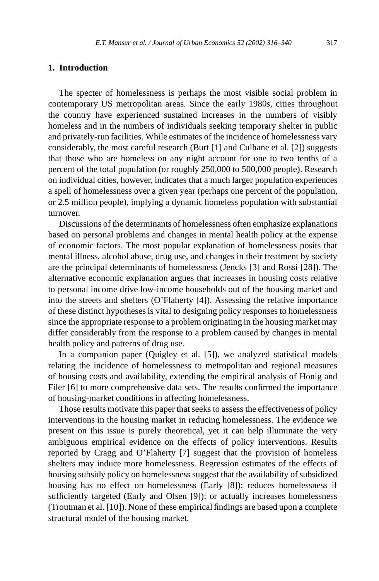## **1. Introduction**

The specter of homelessness is perhaps the most visible social problem in contemporary US metropolitan areas. Since the early 1980s, cities throughout the country have experienced sustained increases in the numbers of visibly homeless and in the numbers of individuals seeking temporary shelter in public and privately-run facilities. While estimates of the incidence of homelessness vary considerably, the most careful research (Burt [1] and Culhane et al. [2]) suggests that those who are homeless on any night account for one to two tenths of a percent of the total population (or roughly 250,000 to 500,000 people). Research on individual cities, however, indicates that a much larger population experiences a spell of homelessness over a given year (perhaps one percent of the population, or 2.5 million people), implying a dynamic homeless population with substantial turnover.

Discussions of the determinants of homelessness often emphasize explanations based on personal problems and changes in mental health policy at the expense of economic factors. The most popular explanation of homelessness posits that mental illness, alcohol abuse, drug use, and changes in their treatment by society are the principal determinants of homelessness (Jencks [3] and Rossi [28]). The alternative economic explanation argues that increases in housing costs relative to personal income drive low-income households out of the housing market and into the streets and shelters (O'Flaherty [4]). Assessing the relative importance of these distinct hypotheses is vital to designing policy responses to homelessness since the appropriate response to a problem originating in the housing market may differ considerably from the response to a problem caused by changes in mental health policy and patterns of drug use.

In a companion paper (Quigley et al. [5]), we analyzed statistical models relating the incidence of homelessness to metropolitan and regional measures of housing costs and availability, extending the empirical analysis of Honig and Filer [6] to more comprehensive data sets. The results confirmed the importance of housing-market conditions in affecting homelessness.

Those results motivate this paper that seeks to assess the effectiveness of policy interventions in the housing market in reducing homelessness. The evidence we present on this issue is purely theoretical, yet it can help illuminate the very ambiguous empirical evidence on the effects of policy interventions. Results reported by Cragg and O'Flaherty [7] suggest that the provision of homeless shelters may induce more homelessness. Regression estimates of the effects of housing subsidy policy on homelessness suggest that the availability of subsidized housing has no effect on homelessness (Early [8]); reduces homelessness if sufficiently targeted (Early and Olsen [9]); or actually increases homelessness (Troutman et al. [10]). None of these empirical findings are based upon a complete structural model of the housing market.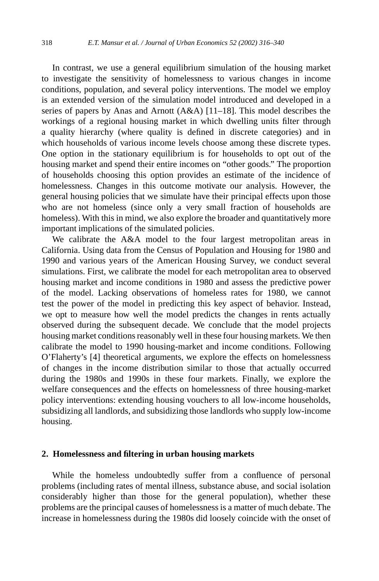In contrast, we use a general equilibrium simulation of the housing market to investigate the sensitivity of homelessness to various changes in income conditions, population, and several policy interventions. The model we employ is an extended version of the simulation model introduced and developed in a series of papers by Anas and Arnott (A&A) [11–18]. This model describes the workings of a regional housing market in which dwelling units filter through a quality hierarchy (where quality is defined in discrete categories) and in which households of various income levels choose among these discrete types. One option in the stationary equilibrium is for households to opt out of the housing market and spend their entire incomes on "other goods." The proportion of households choosing this option provides an estimate of the incidence of homelessness. Changes in this outcome motivate our analysis. However, the general housing policies that we simulate have their principal effects upon those who are not homeless (since only a very small fraction of households are homeless). With this in mind, we also explore the broader and quantitatively more important implications of the simulated policies.

We calibrate the A&A model to the four largest metropolitan areas in California. Using data from the Census of Population and Housing for 1980 and 1990 and various years of the American Housing Survey, we conduct several simulations. First, we calibrate the model for each metropolitan area to observed housing market and income conditions in 1980 and assess the predictive power of the model. Lacking observations of homeless rates for 1980, we cannot test the power of the model in predicting this key aspect of behavior. Instead, we opt to measure how well the model predicts the changes in rents actually observed during the subsequent decade. We conclude that the model projects housing market conditions reasonably well in these four housing markets. We then calibrate the model to 1990 housing-market and income conditions. Following O'Flaherty's [4] theoretical arguments, we explore the effects on homelessness of changes in the income distribution similar to those that actually occurred during the 1980s and 1990s in these four markets. Finally, we explore the welfare consequences and the effects on homelessness of three housing-market policy interventions: extending housing vouchers to all low-income households, subsidizing all landlords, and subsidizing those landlords who supply low-income housing.

#### **2. Homelessness and filtering in urban housing markets**

While the homeless undoubtedly suffer from a confluence of personal problems (including rates of mental illness, substance abuse, and social isolation considerably higher than those for the general population), whether these problems are the principal causes of homelessness is a matter of much debate. The increase in homelessness during the 1980s did loosely coincide with the onset of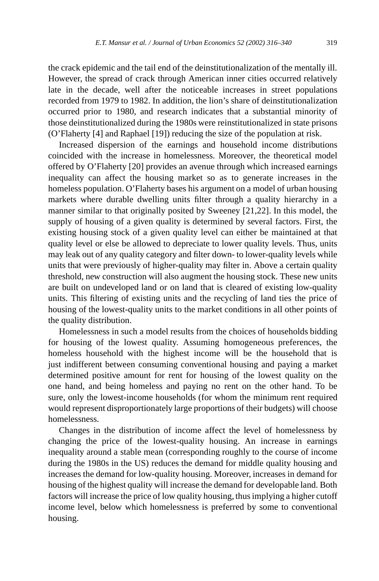the crack epidemic and the tail end of the deinstitutionalization of the mentally ill. However, the spread of crack through American inner cities occurred relatively late in the decade, well after the noticeable increases in street populations recorded from 1979 to 1982. In addition, the lion's share of deinstitutionalization occurred prior to 1980, and research indicates that a substantial minority of those deinstitutionalized during the 1980s were reinstitutionalized in state prisons (O'Flaherty [4] and Raphael [19]) reducing the size of the population at risk.

Increased dispersion of the earnings and household income distributions coincided with the increase in homelessness. Moreover, the theoretical model offered by O'Flaherty [20] provides an avenue through which increased earnings inequality can affect the housing market so as to generate increases in the homeless population. O'Flaherty bases his argument on a model of urban housing markets where durable dwelling units filter through a quality hierarchy in a manner similar to that originally posited by Sweeney [21,22]. In this model, the supply of housing of a given quality is determined by several factors. First, the existing housing stock of a given quality level can either be maintained at that quality level or else be allowed to depreciate to lower quality levels. Thus, units may leak out of any quality category and filter down- to lower-quality levels while units that were previously of higher-quality may filter in. Above a certain quality threshold, new construction will also augment the housing stock. These new units are built on undeveloped land or on land that is cleared of existing low-quality units. This filtering of existing units and the recycling of land ties the price of housing of the lowest-quality units to the market conditions in all other points of the quality distribution.

Homelessness in such a model results from the choices of households bidding for housing of the lowest quality. Assuming homogeneous preferences, the homeless household with the highest income will be the household that is just indifferent between consuming conventional housing and paying a market determined positive amount for rent for housing of the lowest quality on the one hand, and being homeless and paying no rent on the other hand. To be sure, only the lowest-income households (for whom the minimum rent required would represent disproportionately large proportions of their budgets) will choose homelessness.

Changes in the distribution of income affect the level of homelessness by changing the price of the lowest-quality housing. An increase in earnings inequality around a stable mean (corresponding roughly to the course of income during the 1980s in the US) reduces the demand for middle quality housing and increases the demand for low-quality housing. Moreover, increases in demand for housing of the highest quality will increase the demand for developable land. Both factors will increase the price of low quality housing, thus implying a higher cutoff income level, below which homelessness is preferred by some to conventional housing.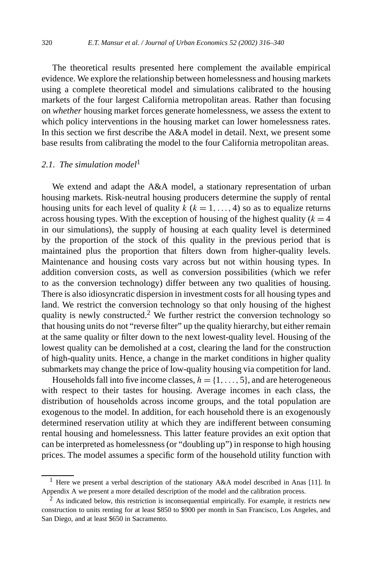The theoretical results presented here complement the available empirical evidence. We explore the relationship between homelessness and housing markets using a complete theoretical model and simulations calibrated to the housing markets of the four largest California metropolitan areas. Rather than focusing on *whether* housing market forces generate homelessness, we assess the extent to which policy interventions in the housing market can lower homelessness rates. In this section we first describe the A&A model in detail. Next, we present some base results from calibrating the model to the four California metropolitan areas.

# 2.1. The simulation model<sup>1</sup>

We extend and adapt the A&A model, a stationary representation of urban housing markets. Risk-neutral housing producers determine the supply of rental housing units for each level of quality  $k$  ( $k = 1, ..., 4$ ) so as to equalize returns across housing types. With the exception of housing of the highest quality  $(k = 4)$ in our simulations), the supply of housing at each quality level is determined by the proportion of the stock of this quality in the previous period that is maintained plus the proportion that filters down from higher-quality levels. Maintenance and housing costs vary across but not within housing types. In addition conversion costs, as well as conversion possibilities (which we refer to as the conversion technology) differ between any two qualities of housing. There is also idiosyncratic dispersion in investment costs for all housing types and land. We restrict the conversion technology so that only housing of the highest quality is newly constructed.<sup>2</sup> We further restrict the conversion technology so that housing units do not "reverse filter" up the quality hierarchy, but either remain at the same quality or filter down to the next lowest-quality level. Housing of the lowest quality can be demolished at a cost, clearing the land for the construction of high-quality units. Hence, a change in the market conditions in higher quality submarkets may change the price of low-quality housing via competition for land.

Households fall into five income classes,  $h = \{1, \ldots, 5\}$ , and are heterogeneous with respect to their tastes for housing. Average incomes in each class, the distribution of households across income groups, and the total population are exogenous to the model. In addition, for each household there is an exogenously determined reservation utility at which they are indifferent between consuming rental housing and homelessness. This latter feature provides an exit option that can be interpreted as homelessness (or "doubling up") in response to high housing prices. The model assumes a specific form of the household utility function with

<sup>&</sup>lt;sup>1</sup> Here we present a verbal description of the stationary A&A model described in Anas [11]. In Appendix A we present a more detailed description of the model and the calibration process.

 $2$  As indicated below, this restriction is inconsequential empirically. For example, it restricts new construction to units renting for at least \$850 to \$900 per month in San Francisco, Los Angeles, and San Diego, and at least \$650 in Sacramento.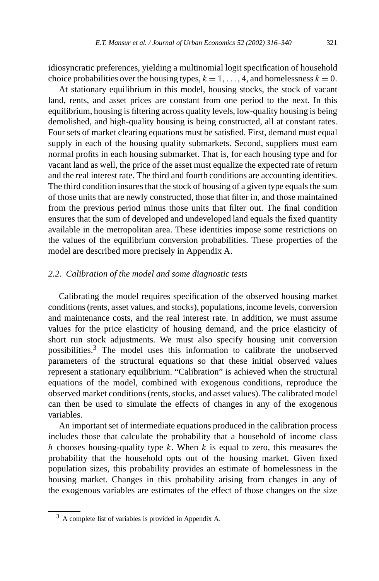idiosyncratic preferences, yielding a multinomial logit specification of household choice probabilities over the housing types,  $k = 1, \ldots, 4$ , and homelessness  $k = 0$ .

At stationary equilibrium in this model, housing stocks, the stock of vacant land, rents, and asset prices are constant from one period to the next. In this equilibrium, housing is filtering across quality levels, low-quality housing is being demolished, and high-quality housing is being constructed, all at constant rates. Four sets of market clearing equations must be satisfied. First, demand must equal supply in each of the housing quality submarkets. Second, suppliers must earn normal profits in each housing submarket. That is, for each housing type and for vacant land as well, the price of the asset must equalize the expected rate of return and the real interest rate. The third and fourth conditions are accounting identities. The third condition insures that the stock of housing of a given type equals the sum of those units that are newly constructed, those that filter in, and those maintained from the previous period minus those units that filter out. The final condition ensures that the sum of developed and undeveloped land equals the fixed quantity available in the metropolitan area. These identities impose some restrictions on the values of the equilibrium conversion probabilities. These properties of the model are described more precisely in Appendix A.

# *2.2. Calibration of the model and some diagnostic tests*

Calibrating the model requires specification of the observed housing market conditions (rents, asset values, and stocks), populations, income levels, conversion and maintenance costs, and the real interest rate. In addition, we must assume values for the price elasticity of housing demand, and the price elasticity of short run stock adjustments. We must also specify housing unit conversion possibilities.<sup>3</sup> The model uses this information to calibrate the unobserved parameters of the structural equations so that these initial observed values represent a stationary equilibrium. "Calibration" is achieved when the structural equations of the model, combined with exogenous conditions, reproduce the observed market conditions (rents, stocks, and asset values). The calibrated model can then be used to simulate the effects of changes in any of the exogenous variables.

An important set of intermediate equations produced in the calibration process includes those that calculate the probability that a household of income class *h* chooses housing-quality type *k*. When *k* is equal to zero, this measures the probability that the household opts out of the housing market. Given fixed population sizes, this probability provides an estimate of homelessness in the housing market. Changes in this probability arising from changes in any of the exogenous variables are estimates of the effect of those changes on the size

<sup>3</sup> A complete list of variables is provided in Appendix A.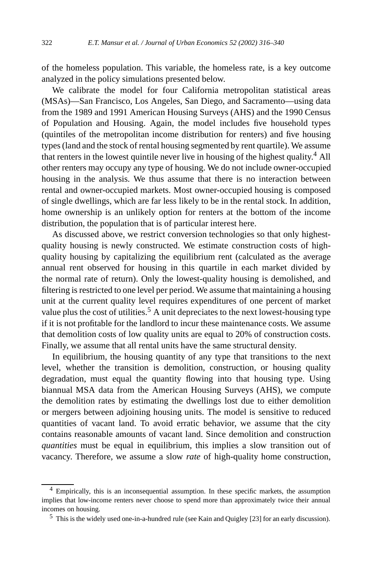of the homeless population. This variable, the homeless rate, is a key outcome analyzed in the policy simulations presented below.

We calibrate the model for four California metropolitan statistical areas (MSAs)—San Francisco, Los Angeles, San Diego, and Sacramento—using data from the 1989 and 1991 American Housing Surveys (AHS) and the 1990 Census of Population and Housing. Again, the model includes five household types (quintiles of the metropolitan income distribution for renters) and five housing types (land and the stock of rental housing segmented by rent quartile). We assume that renters in the lowest quintile never live in housing of the highest quality.<sup>4</sup> All other renters may occupy any type of housing. We do not include owner-occupied housing in the analysis. We thus assume that there is no interaction between rental and owner-occupied markets. Most owner-occupied housing is composed of single dwellings, which are far less likely to be in the rental stock. In addition, home ownership is an unlikely option for renters at the bottom of the income distribution, the population that is of particular interest here.

As discussed above, we restrict conversion technologies so that only highestquality housing is newly constructed. We estimate construction costs of highquality housing by capitalizing the equilibrium rent (calculated as the average annual rent observed for housing in this quartile in each market divided by the normal rate of return). Only the lowest-quality housing is demolished, and filtering is restricted to one level per period. We assume that maintaining a housing unit at the current quality level requires expenditures of one percent of market value plus the cost of utilities.<sup>5</sup> A unit depreciates to the next lowest-housing type if it is not profitable for the landlord to incur these maintenance costs. We assume that demolition costs of low quality units are equal to 20% of construction costs. Finally, we assume that all rental units have the same structural density.

In equilibrium, the housing quantity of any type that transitions to the next level, whether the transition is demolition, construction, or housing quality degradation, must equal the quantity flowing into that housing type. Using biannual MSA data from the American Housing Surveys (AHS), we compute the demolition rates by estimating the dwellings lost due to either demolition or mergers between adjoining housing units. The model is sensitive to reduced quantities of vacant land. To avoid erratic behavior, we assume that the city contains reasonable amounts of vacant land. Since demolition and construction *quantities* must be equal in equilibrium, this implies a slow transition out of vacancy. Therefore, we assume a slow *rate* of high-quality home construction,

<sup>4</sup> Empirically, this is an inconsequential assumption. In these specific markets, the assumption implies that low-income renters never choose to spend more than approximately twice their annual incomes on housing.

<sup>5</sup> This is the widely used one-in-a-hundred rule (see Kain and Quigley [23] for an early discussion).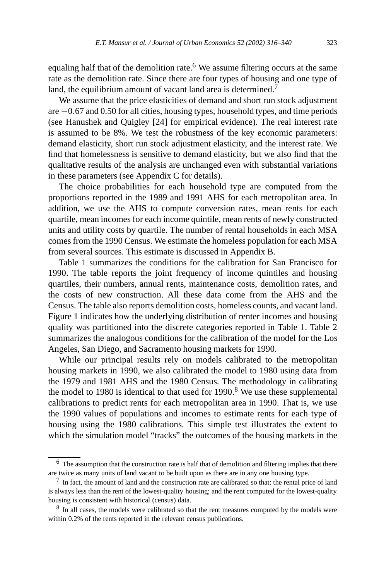equaling half that of the demolition rate.<sup>6</sup> We assume filtering occurs at the same rate as the demolition rate. Since there are four types of housing and one type of land, the equilibrium amount of vacant land area is determined.<sup>7</sup>

We assume that the price elasticities of demand and short run stock adjustment are −0*.*67 and 0.50 for all cities, housing types, household types, and time periods (see Hanushek and Quigley [24] for empirical evidence). The real interest rate is assumed to be 8%. We test the robustness of the key economic parameters: demand elasticity, short run stock adjustment elasticity, and the interest rate. We find that homelessness is sensitive to demand elasticity, but we also find that the qualitative results of the analysis are unchanged even with substantial variations in these parameters (see Appendix C for details).

The choice probabilities for each household type are computed from the proportions reported in the 1989 and 1991 AHS for each metropolitan area. In addition, we use the AHS to compute conversion rates, mean rents for each quartile, mean incomes for each income quintile, mean rents of newly constructed units and utility costs by quartile. The number of rental households in each MSA comes from the 1990 Census. We estimate the homeless population for each MSA from several sources. This estimate is discussed in Appendix B.

Table 1 summarizes the conditions for the calibration for San Francisco for 1990. The table reports the joint frequency of income quintiles and housing quartiles, their numbers, annual rents, maintenance costs, demolition rates, and the costs of new construction. All these data come from the AHS and the Census. The table also reports demolition costs, homeless counts, and vacant land. Figure 1 indicates how the underlying distribution of renter incomes and housing quality was partitioned into the discrete categories reported in Table 1. Table 2 summarizes the analogous conditions for the calibration of the model for the Los Angeles, San Diego, and Sacramento housing markets for 1990.

While our principal results rely on models calibrated to the metropolitan housing markets in 1990, we also calibrated the model to 1980 using data from the 1979 and 1981 AHS and the 1980 Census. The methodology in calibrating the model to 1980 is identical to that used for  $1990$ .<sup>8</sup> We use these supplemental calibrations to predict rents for each metropolitan area in 1990. That is, we use the 1990 values of populations and incomes to estimate rents for each type of housing using the 1980 calibrations. This simple test illustrates the extent to which the simulation model "tracks" the outcomes of the housing markets in the

 $6\text{ The assumption that the construction rate is half that of the definition and filtering implies that there are no conditions.}$ are twice as many units of land vacant to be built upon as there are in any one housing type.

<sup>7</sup> In fact, the amount of land and the construction rate are calibrated so that: the rental price of land is always less than the rent of the lowest-quality housing; and the rent computed for the lowest-quality housing is consistent with historical (census) data.

<sup>&</sup>lt;sup>8</sup> In all cases, the models were calibrated so that the rent measures computed by the models were within 0.2% of the rents reported in the relevant census publications.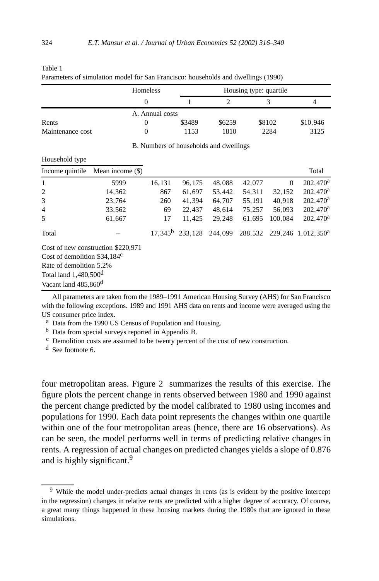|                  | Homeless        |        | Housing type: quartile |        |          |  |  |
|------------------|-----------------|--------|------------------------|--------|----------|--|--|
|                  |                 |        |                        |        |          |  |  |
|                  | A. Annual costs |        |                        |        |          |  |  |
| Rents            |                 | \$3489 | \$6259                 | \$8102 | \$10,946 |  |  |
| Maintenance cost |                 | 1153   | 1810                   | 2284   | 3125     |  |  |

Parameters of simulation model for San Francisco: households and dwellings (1990)

Table 1

B. Numbers of households and dwellings

| Household type                   |                                    |        |        |                                     |         |          |                                |
|----------------------------------|------------------------------------|--------|--------|-------------------------------------|---------|----------|--------------------------------|
|                                  | Income quintile Mean income (\$)   |        |        |                                     |         |          | Total                          |
| 1                                | 5999                               | 16.131 | 96.175 | 48.088                              | 42,077  | $\Omega$ | 202,470 <sup>a</sup>           |
| 2                                | 14.362                             | 867    | 61,697 | 53.442                              | 54.311  | 32,152   | $202.470^a$                    |
| 3                                | 23.764                             | 260    | 41,394 | 64,707                              | 55,191  | 40,918   | 202,470 <sup>a</sup>           |
| $\overline{4}$                   | 33,562                             | 69     | 22,437 | 48.614                              | 75,257  | 56.093   | $202,470^a$                    |
| 5                                | 61,667                             | 17     | 11,425 | 29,248                              | 61,695  | 100.084  | 202,470 <sup>a</sup>           |
| Total                            |                                    |        |        | 17.345 <sup>b</sup> 233.128 244.099 | 288.532 |          | 229.246 1.012.350 <sup>a</sup> |
|                                  | Cost of new construction \$220,971 |        |        |                                     |         |          |                                |
| Cost of demolition $$34.184c$    |                                    |        |        |                                     |         |          |                                |
| Rate of demolition 5.2%          |                                    |        |        |                                     |         |          |                                |
| Total land $1,480,500d$          |                                    |        |        |                                     |         |          |                                |
| Vacant land 485,860 <sup>d</sup> |                                    |        |        |                                     |         |          |                                |

All parameters are taken from the 1989–1991 American Housing Survey (AHS) for San Francisco with the following exceptions. 1989 and 1991 AHS data on rents and income were averaged using the US consumer price index.

<sup>a</sup> Data from the 1990 US Census of Population and Housing.

<sup>b</sup> Data from special surveys reported in Appendix B.

<sup>c</sup> Demolition costs are assumed to be twenty percent of the cost of new construction.

<sup>d</sup> See footnote 6.

four metropolitan areas. Figure 2 summarizes the results of this exercise. The figure plots the percent change in rents observed between 1980 and 1990 against the percent change predicted by the model calibrated to 1980 using incomes and populations for 1990. Each data point represents the changes within one quartile within one of the four metropolitan areas (hence, there are 16 observations). As can be seen, the model performs well in terms of predicting relative changes in rents. A regression of actual changes on predicted changes yields a slope of 0.876 and is highly significant.<sup>9</sup>

<sup>&</sup>lt;sup>9</sup> While the model under-predicts actual changes in rents (as is evident by the positive intercept in the regression) changes in relative rents are predicted with a higher degree of accuracy. Of course, a great many things happened in these housing markets during the 1980s that are ignored in these simulations.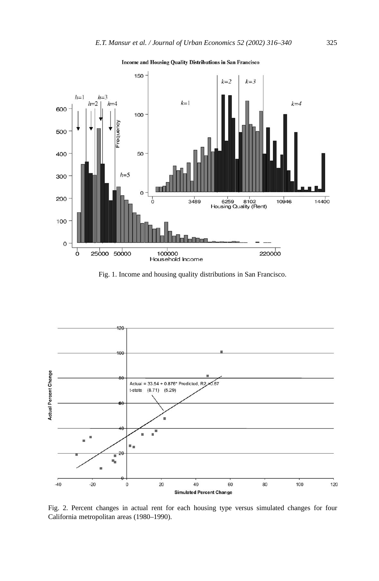

Income and Housing Quality Distributions in San Francisco

Fig. 1. Income and housing quality distributions in San Francisco.



Fig. 2. Percent changes in actual rent for each housing type versus simulated changes for four California metropolitan areas (1980–1990).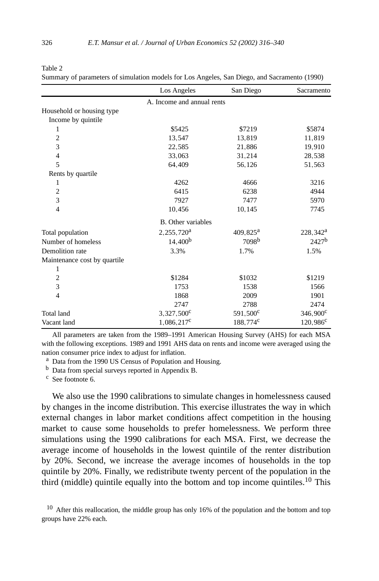|                              | Los Angeles                | San Diego            | Sacramento        |
|------------------------------|----------------------------|----------------------|-------------------|
|                              | A. Income and annual rents |                      |                   |
| Household or housing type    |                            |                      |                   |
| Income by quintile           |                            |                      |                   |
| 1                            | \$5425                     | \$7219               | \$5874            |
| $\overline{c}$               | 13,547                     | 13,819               | 11,819            |
| 3                            | 22,585                     | 21,886               | 19,910            |
| $\overline{4}$               | 33,063                     | 31,214               | 28,538            |
| 5                            | 64,409                     | 56,126               | 51,563            |
| Rents by quartile            |                            |                      |                   |
| 1                            | 4262                       | 4666                 | 3216              |
| $\overline{c}$               | 6415                       | 6238                 | 4944              |
| 3                            | 7927                       | 7477                 | 5970              |
| $\overline{4}$               | 10,456                     | 10,145               | 7745              |
|                              | <b>B.</b> Other variables  |                      |                   |
| Total population             | $2,255,720^a$              | $409,825^{\rm a}$    | $228,342^a$       |
| Number of homeless           | 14,400 <sup>b</sup>        | 7098 <sup>b</sup>    | 2427 <sup>b</sup> |
| Demolition rate              | 3.3%                       | 1.7%                 | 1.5%              |
| Maintenance cost by quartile |                            |                      |                   |
| 1                            |                            |                      |                   |
| $\overline{c}$               | \$1284                     | \$1032               | \$1219            |
| 3                            | 1753                       | 1538                 | 1566              |
| $\overline{4}$               | 1868                       | 2009                 | 1901              |
|                              | 2747                       | 2788                 | 2474              |
| Total land                   | $3,327,500^{\circ}$        | 591,500°             | $346,900^{\circ}$ |
| Vacant land                  | $1,086,217^c$              | 188,774 <sup>c</sup> | $120,986^c$       |

Table 2

Summary of parameters of simulation models for Los Angeles, San Diego, and Sacramento (1990)

All parameters are taken from the 1989–1991 American Housing Survey (AHS) for each MSA with the following exceptions. 1989 and 1991 AHS data on rents and income were averaged using the nation consumer price index to adjust for inflation.

<sup>a</sup> Data from the 1990 US Census of Population and Housing.

<sup>b</sup> Data from special surveys reported in Appendix B.

<sup>c</sup> See footnote 6.

We also use the 1990 calibrations to simulate changes in homelessness caused by changes in the income distribution. This exercise illustrates the way in which external changes in labor market conditions affect competition in the housing market to cause some households to prefer homelessness. We perform three simulations using the 1990 calibrations for each MSA. First, we decrease the average income of households in the lowest quintile of the renter distribution by 20%. Second, we increase the average incomes of households in the top quintile by 20%. Finally, we redistribute twenty percent of the population in the third (middle) quintile equally into the bottom and top income quintiles.<sup>10</sup> This

 $10<sup>10</sup>$  After this reallocation, the middle group has only 16% of the population and the bottom and top groups have 22% each.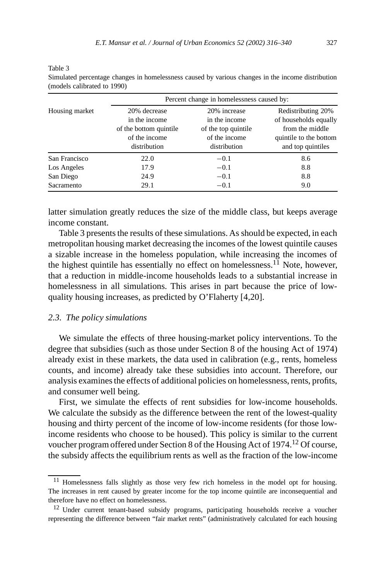|                | Percent change in homelessness caused by: |                     |                        |  |  |  |  |  |
|----------------|-------------------------------------------|---------------------|------------------------|--|--|--|--|--|
| Housing market | 20% decrease                              | 20% increase        | Redistributing 20%     |  |  |  |  |  |
|                | in the income                             | in the income       | of households equally  |  |  |  |  |  |
|                | of the bottom quintile                    | of the top quintile | from the middle        |  |  |  |  |  |
|                | of the income                             | of the income       | quintile to the bottom |  |  |  |  |  |
|                | distribution                              | distribution        | and top quintiles      |  |  |  |  |  |
| San Francisco  | 22.0                                      | $-0.1$              | 8.6                    |  |  |  |  |  |
| Los Angeles    | 17.9                                      | $-0.1$              | 8.8                    |  |  |  |  |  |
| San Diego      | 24.9                                      | $-0.1$              | 8.8                    |  |  |  |  |  |
| Sacramento     | 29.1                                      | $-0.1$              | 9.0                    |  |  |  |  |  |

Simulated percentage changes in homelessness caused by various changes in the income distribution (models calibrated to 1990)

latter simulation greatly reduces the size of the middle class, but keeps average income constant.

Table 3 presents the results of these simulations. As should be expected, in each metropolitan housing market decreasing the incomes of the lowest quintile causes a sizable increase in the homeless population, while increasing the incomes of the highest quintile has essentially no effect on homelessness.<sup>11</sup> Note, however, that a reduction in middle-income households leads to a substantial increase in homelessness in all simulations. This arises in part because the price of lowquality housing increases, as predicted by O'Flaherty [4,20].

## *2.3. The policy simulations*

Table 3

We simulate the effects of three housing-market policy interventions. To the degree that subsidies (such as those under Section 8 of the housing Act of 1974) already exist in these markets, the data used in calibration (e.g., rents, homeless counts, and income) already take these subsidies into account. Therefore, our analysis examines the effects of additional policies on homelessness, rents, profits, and consumer well being.

First, we simulate the effects of rent subsidies for low-income households. We calculate the subsidy as the difference between the rent of the lowest-quality housing and thirty percent of the income of low-income residents (for those lowincome residents who choose to be housed). This policy is similar to the current voucher program offered under Section 8 of the Housing Act of 1974.<sup>12</sup> Of course, the subsidy affects the equilibrium rents as well as the fraction of the low-income

<sup>&</sup>lt;sup>11</sup> Homelessness falls slightly as those very few rich homeless in the model opt for housing. The increases in rent caused by greater income for the top income quintile are inconsequential and therefore have no effect on homelessness.

<sup>&</sup>lt;sup>12</sup> Under current tenant-based subsidy programs, participating households receive a voucher representing the difference between "fair market rents" (administratively calculated for each housing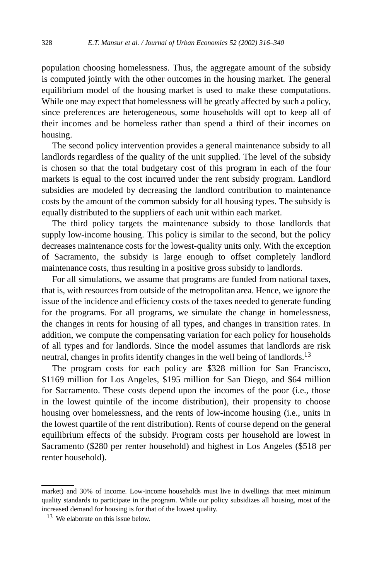population choosing homelessness. Thus, the aggregate amount of the subsidy is computed jointly with the other outcomes in the housing market. The general equilibrium model of the housing market is used to make these computations. While one may expect that homelessness will be greatly affected by such a policy, since preferences are heterogeneous, some households will opt to keep all of their incomes and be homeless rather than spend a third of their incomes on housing.

The second policy intervention provides a general maintenance subsidy to all landlords regardless of the quality of the unit supplied. The level of the subsidy is chosen so that the total budgetary cost of this program in each of the four markets is equal to the cost incurred under the rent subsidy program. Landlord subsidies are modeled by decreasing the landlord contribution to maintenance costs by the amount of the common subsidy for all housing types. The subsidy is equally distributed to the suppliers of each unit within each market.

The third policy targets the maintenance subsidy to those landlords that supply low-income housing. This policy is similar to the second, but the policy decreases maintenance costs for the lowest-quality units only. With the exception of Sacramento, the subsidy is large enough to offset completely landlord maintenance costs, thus resulting in a positive gross subsidy to landlords.

For all simulations, we assume that programs are funded from national taxes, that is, with resources from outside of the metropolitan area. Hence, we ignore the issue of the incidence and efficiency costs of the taxes needed to generate funding for the programs. For all programs, we simulate the change in homelessness, the changes in rents for housing of all types, and changes in transition rates. In addition, we compute the compensating variation for each policy for households of all types and for landlords. Since the model assumes that landlords are risk neutral, changes in profits identify changes in the well being of landlords.<sup>13</sup>

The program costs for each policy are \$328 million for San Francisco, \$1169 million for Los Angeles, \$195 million for San Diego, and \$64 million for Sacramento. These costs depend upon the incomes of the poor (i.e., those in the lowest quintile of the income distribution), their propensity to choose housing over homelessness, and the rents of low-income housing (i.e., units in the lowest quartile of the rent distribution). Rents of course depend on the general equilibrium effects of the subsidy. Program costs per household are lowest in Sacramento (\$280 per renter household) and highest in Los Angeles (\$518 per renter household).

market) and 30% of income. Low-income households must live in dwellings that meet minimum quality standards to participate in the program. While our policy subsidizes all housing, most of the increased demand for housing is for that of the lowest quality.

<sup>&</sup>lt;sup>13</sup> We elaborate on this issue below.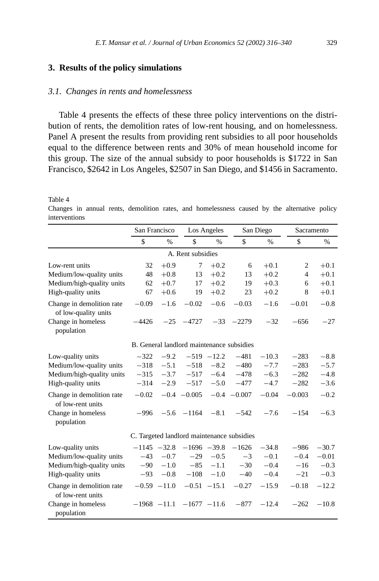# **3. Results of the policy simulations**

#### *3.1. Changes in rents and homelessness*

Table 4 presents the effects of these three policy interventions on the distribution of rents, the demolition rates of low-rent housing, and on homelessness. Panel A present the results from providing rent subsidies to all poor households equal to the difference between rents and 30% of mean household income for this group. The size of the annual subsidy to poor households is \$1722 in San Francisco, \$2642 in Los Angeles, \$2507 in San Diego, and \$1456 in Sacramento.

Table 4

Changes in annual rents, demolition rates, and homelessness caused by the alternative policy interventions

|                                                   | San Francisco   |               |                                 | Los Angeles   |                                            | San Diego     |                | Sacramento |  |
|---------------------------------------------------|-----------------|---------------|---------------------------------|---------------|--------------------------------------------|---------------|----------------|------------|--|
|                                                   | \$              | $\frac{0}{0}$ | \$                              | $\frac{0}{0}$ | \$                                         | $\frac{0}{0}$ | \$             | $\%$       |  |
|                                                   |                 |               | A. Rent subsidies               |               |                                            |               |                |            |  |
| Low-rent units                                    | 32              | $+0.9$        | 7                               | $+0.2$        | 6                                          | $+0.1$        | 2              | $+0.1$     |  |
| Medium/low-quality units                          | 48              | $+0.8$        | 13                              | $+0.2$        | 13                                         | $+0.2$        | $\overline{4}$ | $+0.1$     |  |
| Medium/high-quality units                         | 62              | $+0.7$        | 17                              | $+0.2$        | 19                                         | $+0.3$        | 6              | $+0.1$     |  |
| High-quality units                                | 67              | $+0.6$        | 19                              | $+0.2$        | 23                                         | $+0.2$        | 8              | $+0.1$     |  |
| Change in demolition rate<br>of low-quality units | $-0.09$         | $-1.6$        | $-0.02$                         | $-0.6$        | $-0.03$                                    | $-1.6$        | $-0.01$        | $-0.8$     |  |
| Change in homeless<br>population                  | $-4426$         |               | $-25 - 4727$                    | $-33$         | $-2279$                                    | $-32$         | $-656$         | $-27$      |  |
|                                                   |                 |               |                                 |               | B. General landlord maintenance subsidies  |               |                |            |  |
| Low-quality units                                 | $-322$          | $-9.2$        |                                 | $-519 -12.2$  | $-481$                                     | $-10.3$       | $-283$         | $-8.8$     |  |
| Medium/low-quality units                          | $-318$          | $-5.1$        | $-518$                          | $-8.2$        | $-480$                                     | $-7.7$        | $-283$         | $-5.7$     |  |
| Medium/high-quality units                         | $-315$          | $-3.7$        | $-517$                          | $-6.4$        | $-478$                                     | $-6.3$        | $-282$         | $-4.8$     |  |
| High-quality units                                | $-314$          | $-2.9$        | $-517$                          | $-5.0$        | $-477$                                     | $-4.7$        | $-282$         | $-3.6$     |  |
| Change in demolition rate<br>of low-rent units    | $-0.02$         |               | $-0.4 - 0.005$                  |               | $-0.4 -0.007$                              | $-0.04$       | $-0.003$       | $-0.2$     |  |
| Change in homeless<br>population                  | $-996$          |               | $-5.6$ $-1164$                  | $-8.1$        | $-542$                                     | $-7.6$        | $-154$         | $-6.3$     |  |
|                                                   |                 |               |                                 |               | C. Targeted landlord maintenance subsidies |               |                |            |  |
| Low-quality units                                 | $-1145 -32.8$   |               | $-1696 -39.8$                   |               | $-1626$                                    | $-34.8$       | $-986$         | $-30.7$    |  |
| Medium/low-quality units                          | $-43$           | $-0.7$        | $-29$                           | $-0.5$        | $-3$                                       | $-0.1$        | $-0.4$         | $-0.01$    |  |
| Medium/high-quality units                         | $-90$           | $-1.0$        | $-85$                           | $-1.1$        | $-30$                                      | $-0.4$        | $-16$          | $-0.3$     |  |
| High-quality units                                | $-93$           | $-0.8$        | $-108$                          | $-1.0$        | $-40$                                      | $-0.4$        | $-21$          | $-0.3$     |  |
| Change in demolition rate<br>of low-rent units    | $-0.59$ $-11.0$ |               |                                 | $-0.51 -15.1$ | $-0.27$                                    | $-15.9$       | $-0.18$        | $-12.2$    |  |
| Change in homeless<br>population                  |                 |               | $-1968$ $-11.1$ $-1677$ $-11.6$ |               | $-877$                                     | $-12.4$       | $-262$         | $-10.8$    |  |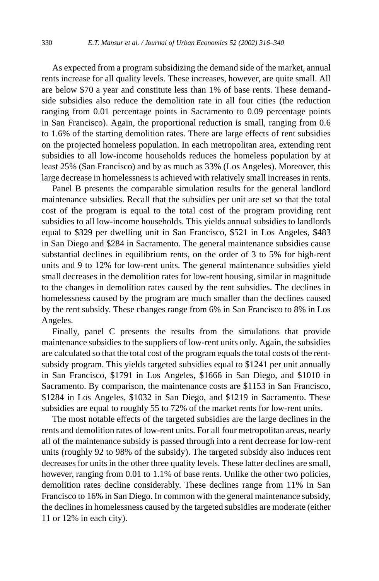As expected from a program subsidizing the demand side of the market, annual rents increase for all quality levels. These increases, however, are quite small. All are below \$70 a year and constitute less than 1% of base rents. These demandside subsidies also reduce the demolition rate in all four cities (the reduction ranging from 0.01 percentage points in Sacramento to 0.09 percentage points in San Francisco). Again, the proportional reduction is small, ranging from 0.6 to 1.6% of the starting demolition rates. There are large effects of rent subsidies on the projected homeless population. In each metropolitan area, extending rent subsidies to all low-income households reduces the homeless population by at least 25% (San Francisco) and by as much as 33% (Los Angeles). Moreover, this large decrease in homelessness is achieved with relatively small increases in rents.

Panel B presents the comparable simulation results for the general landlord maintenance subsidies. Recall that the subsidies per unit are set so that the total cost of the program is equal to the total cost of the program providing rent subsidies to all low-income households. This yields annual subsidies to landlords equal to \$329 per dwelling unit in San Francisco, \$521 in Los Angeles, \$483 in San Diego and \$284 in Sacramento. The general maintenance subsidies cause substantial declines in equilibrium rents, on the order of 3 to 5% for high-rent units and 9 to 12% for low-rent units. The general maintenance subsidies yield small decreases in the demolition rates for low-rent housing, similar in magnitude to the changes in demolition rates caused by the rent subsidies. The declines in homelessness caused by the program are much smaller than the declines caused by the rent subsidy. These changes range from 6% in San Francisco to 8% in Los Angeles.

Finally, panel C presents the results from the simulations that provide maintenance subsidies to the suppliers of low-rent units only. Again, the subsidies are calculated so that the total cost of the program equals the total costs of the rentsubsidy program. This yields targeted subsidies equal to \$1241 per unit annually in San Francisco, \$1791 in Los Angeles, \$1666 in San Diego, and \$1010 in Sacramento. By comparison, the maintenance costs are \$1153 in San Francisco, \$1284 in Los Angeles, \$1032 in San Diego, and \$1219 in Sacramento. These subsidies are equal to roughly 55 to 72% of the market rents for low-rent units.

The most notable effects of the targeted subsidies are the large declines in the rents and demolition rates of low-rent units. For all four metropolitan areas, nearly all of the maintenance subsidy is passed through into a rent decrease for low-rent units (roughly 92 to 98% of the subsidy). The targeted subsidy also induces rent decreases for units in the other three quality levels. These latter declines are small, however, ranging from 0.01 to 1.1% of base rents. Unlike the other two policies, demolition rates decline considerably. These declines range from 11% in San Francisco to 16% in San Diego. In common with the general maintenance subsidy, the declines in homelessness caused by the targeted subsidies are moderate (either 11 or 12% in each city).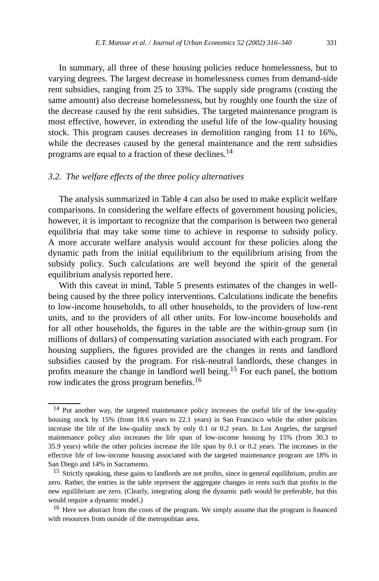In summary, all three of these housing policies reduce homelessness, but to varying degrees. The largest decrease in homelessness comes from demand-side rent subsidies, ranging from 25 to 33%. The supply side programs (costing the same amount) also decrease homelessness, but by roughly one fourth the size of the decrease caused by the rent subsidies. The targeted maintenance program is most effective, however, in extending the useful life of the low-quality housing stock. This program causes decreases in demolition ranging from 11 to 16%, while the decreases caused by the general maintenance and the rent subsidies programs are equal to a fraction of these declines.<sup>14</sup>

# *3.2. The welfare effects of the three policy alternatives*

The analysis summarized in Table 4 can also be used to make explicit welfare comparisons. In considering the welfare effects of government housing policies, however, it is important to recognize that the comparison is between two general equilibria that may take some time to achieve in response to subsidy policy. A more accurate welfare analysis would account for these policies along the dynamic path from the initial equilibrium to the equilibrium arising from the subsidy policy. Such calculations are well beyond the spirit of the general equilibrium analysis reported here.

With this caveat in mind, Table 5 presents estimates of the changes in wellbeing caused by the three policy interventions. Calculations indicate the benefits to low-income households, to all other households, to the providers of low-rent units, and to the providers of all other units. For low-income households and for all other households, the figures in the table are the within-group sum (in millions of dollars) of compensating variation associated with each program. For housing suppliers, the figures provided are the changes in rents and landlord subsidies caused by the program. For risk-neutral landlords, these changes in profits measure the change in landlord well being.<sup>15</sup> For each panel, the bottom row indicates the gross program benefits.<sup>16</sup>

<sup>&</sup>lt;sup>14</sup> Put another way, the targeted maintenance policy increases the useful life of the low-quality housing stock by 15% (from 18.6 years to 22.1 years) in San Francisco while the other policies increase the life of the low-quality stock by only 0.1 or 0.2 years. In Los Angeles, the targeted maintenance policy also increases the life span of low-income housing by 15% (from 30.3 to 35.9 years) while the other policies increase the life span by 0.1 or 0.2 years. The increases in the effective life of low-income housing associated with the targeted maintenance program are 18% in San Diego and 14% in Sacramento.

<sup>&</sup>lt;sup>15</sup> Strictly speaking, these gains to landlords are not profits, since in general equilibrium, profits are zero. Rather, the entries in the table represent the aggregate changes in rents such that profits in the new equilibrium are zero. (Clearly, integrating along the dynamic path would be preferable, but this would require a dynamic model.)

<sup>&</sup>lt;sup>16</sup> Here we abstract from the costs of the program. We simply assume that the program is financed with resources from outside of the metropolitan area.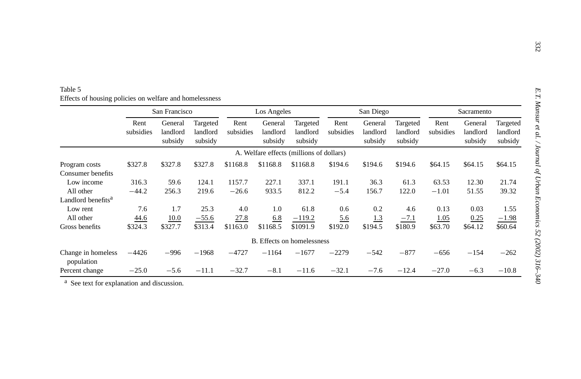|                                    |                   | San Francisco                  |                                 |                   | Los Angeles                    |                                          | San Diego         |                                |                                 | Sacramento        |                                |                                 |
|------------------------------------|-------------------|--------------------------------|---------------------------------|-------------------|--------------------------------|------------------------------------------|-------------------|--------------------------------|---------------------------------|-------------------|--------------------------------|---------------------------------|
|                                    | Rent<br>subsidies | General<br>landlord<br>subsidy | Targeted<br>landlord<br>subsidy | Rent<br>subsidies | General<br>landlord<br>subsidy | Targeted<br>landlord<br>subsidy          | Rent<br>subsidies | General<br>landlord<br>subsidy | Targeted<br>landlord<br>subsidy | Rent<br>subsidies | General<br>landlord<br>subsidy | Targeted<br>landlord<br>subsidy |
|                                    |                   |                                |                                 |                   |                                | A. Welfare effects (millions of dollars) |                   |                                |                                 |                   |                                |                                 |
| Program costs<br>Consumer benefits | \$327.8           | \$327.8                        | \$327.8                         | \$1168.8          | \$1168.8                       | \$1168.8                                 | \$194.6           | \$194.6                        | \$194.6                         | \$64.15           | \$64.15                        | \$64.15                         |
| Low income                         | 316.3             | 59.6                           | 124.1                           | 1157.7            | 227.1                          | 337.1                                    | 191.1             | 36.3                           | 61.3                            | 63.53             | 12.30                          | 21.74                           |
| All other                          | $-44.2$           | 256.3                          | 219.6                           | $-26.6$           | 933.5                          | 812.2                                    | $-5.4$            | 156.7                          | 122.0                           | $-1.01$           | 51.55                          | 39.32                           |
| Landlord benefits <sup>a</sup>     |                   |                                |                                 |                   |                                |                                          |                   |                                |                                 |                   |                                |                                 |
| Low rent                           | 7.6               | 1.7                            | 25.3                            | 4.0               | 1.0                            | 61.8                                     | 0.6               | 0.2                            | 4.6                             | 0.13              | 0.03                           | 1.55                            |
| All other                          | 44.6              | 10.0                           | $-55.6$                         | 27.8              | 6.8                            | $-119.2$                                 | <u>5.6</u>        | 1.3                            | $-7.1$                          | 1.05              | 0.25                           | $-1.98$                         |
| Gross benefits                     | \$324.3           | \$327.7                        | \$313.4                         | \$1163.0          | \$1168.5                       | \$1091.9                                 | \$192.0           | \$194.5                        | \$180.9                         | \$63.70           | \$64.12                        | \$60.64                         |
|                                    |                   |                                |                                 |                   |                                | <b>B.</b> Effects on homelessness        |                   |                                |                                 |                   |                                |                                 |
| Change in homeless<br>population   | $-4426$           | $-996$                         | $-1968$                         | $-4727$           | $-1164$                        | $-1677$                                  | $-2279$           | $-542$                         | $-877$                          | $-656$            | $-154$                         | $-262$                          |
| Percent change                     | $-25.0$           | $-5.6$                         | $-11.1$                         | $-32.7$           | $-8.1$                         | $-11.6$                                  | $-32.1$           | $-7.6$                         | $-12.4$                         | $-27.0$           | $-6.3$                         | $-10.8$                         |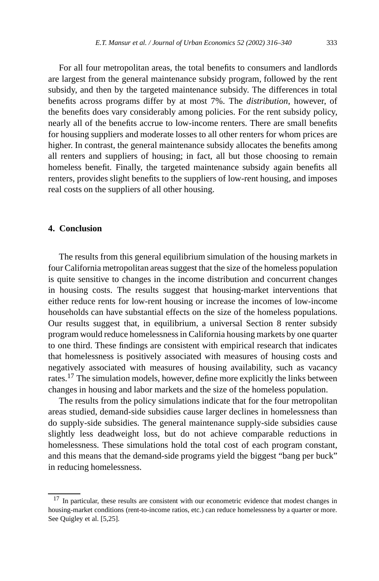For all four metropolitan areas, the total benefits to consumers and landlords are largest from the general maintenance subsidy program, followed by the rent subsidy, and then by the targeted maintenance subsidy. The differences in total benefits across programs differ by at most 7%. The *distribution*, however, of the benefits does vary considerably among policies. For the rent subsidy policy, nearly all of the benefits accrue to low-income renters. There are small benefits for housing suppliers and moderate losses to all other renters for whom prices are higher. In contrast, the general maintenance subsidy allocates the benefits among all renters and suppliers of housing; in fact, all but those choosing to remain homeless benefit. Finally, the targeted maintenance subsidy again benefits all renters, provides slight benefits to the suppliers of low-rent housing, and imposes real costs on the suppliers of all other housing.

# **4. Conclusion**

The results from this general equilibrium simulation of the housing markets in four California metropolitan areas suggest that the size of the homeless population is quite sensitive to changes in the income distribution and concurrent changes in housing costs. The results suggest that housing-market interventions that either reduce rents for low-rent housing or increase the incomes of low-income households can have substantial effects on the size of the homeless populations. Our results suggest that, in equilibrium, a universal Section 8 renter subsidy program would reduce homelessness in California housing markets by one quarter to one third. These findings are consistent with empirical research that indicates that homelessness is positively associated with measures of housing costs and negatively associated with measures of housing availability, such as vacancy rates.<sup>17</sup> The simulation models, however, define more explicitly the links between changes in housing and labor markets and the size of the homeless population.

The results from the policy simulations indicate that for the four metropolitan areas studied, demand-side subsidies cause larger declines in homelessness than do supply-side subsidies. The general maintenance supply-side subsidies cause slightly less deadweight loss, but do not achieve comparable reductions in homelessness. These simulations hold the total cost of each program constant, and this means that the demand-side programs yield the biggest "bang per buck" in reducing homelessness.

<sup>&</sup>lt;sup>17</sup> In particular, these results are consistent with our econometric evidence that modest changes in housing-market conditions (rent-to-income ratios, etc.) can reduce homelessness by a quarter or more. See Quigley et al. [5,25].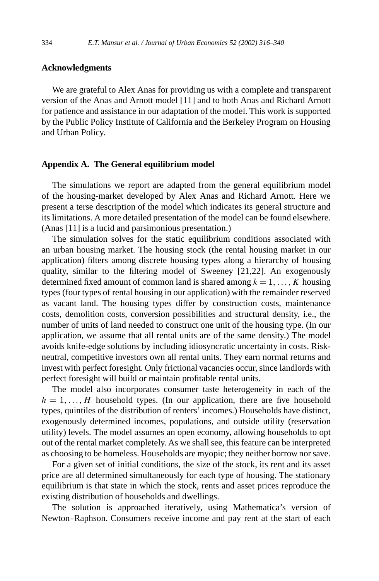## **Acknowledgments**

We are grateful to Alex Anas for providing us with a complete and transparent version of the Anas and Arnott model [11] and to both Anas and Richard Arnott for patience and assistance in our adaptation of the model. This work is supported by the Public Policy Institute of California and the Berkeley Program on Housing and Urban Policy.

## **Appendix A. The General equilibrium model**

The simulations we report are adapted from the general equilibrium model of the housing-market developed by Alex Anas and Richard Arnott. Here we present a terse description of the model which indicates its general structure and its limitations. A more detailed presentation of the model can be found elsewhere. (Anas [11] is a lucid and parsimonious presentation.)

The simulation solves for the static equilibrium conditions associated with an urban housing market. The housing stock (the rental housing market in our application) filters among discrete housing types along a hierarchy of housing quality, similar to the filtering model of Sweeney [21,22]. An exogenously determined fixed amount of common land is shared among  $k = 1, \ldots, K$  housing types (four types of rental housing in our application) with the remainder reserved as vacant land. The housing types differ by construction costs, maintenance costs, demolition costs, conversion possibilities and structural density, i.e., the number of units of land needed to construct one unit of the housing type. (In our application, we assume that all rental units are of the same density.) The model avoids knife-edge solutions by including idiosyncratic uncertainty in costs. Riskneutral, competitive investors own all rental units. They earn normal returns and invest with perfect foresight. Only frictional vacancies occur, since landlords with perfect foresight will build or maintain profitable rental units.

The model also incorporates consumer taste heterogeneity in each of the  $h = 1, \ldots, H$  household types. (In our application, there are five household types, quintiles of the distribution of renters' incomes.) Households have distinct, exogenously determined incomes, populations, and outside utility (reservation utility) levels. The model assumes an open economy, allowing households to opt out of the rental market completely. As we shall see, this feature can be interpreted as choosing to be homeless. Households are myopic; they neither borrow nor save.

For a given set of initial conditions, the size of the stock, its rent and its asset price are all determined simultaneously for each type of housing. The stationary equilibrium is that state in which the stock, rents and asset prices reproduce the existing distribution of households and dwellings.

The solution is approached iteratively, using Mathematica's version of Newton–Raphson. Consumers receive income and pay rent at the start of each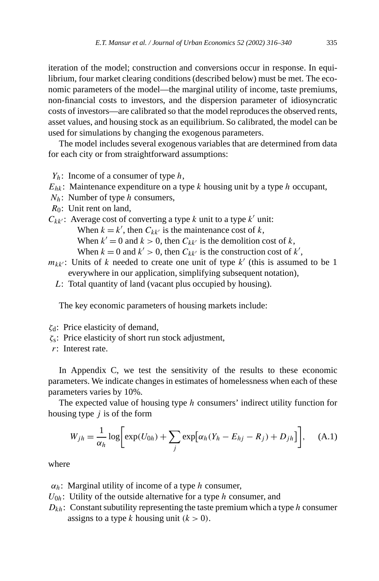iteration of the model; construction and conversions occur in response. In equilibrium, four market clearing conditions (described below) must be met. The economic parameters of the model—the marginal utility of income, taste premiums, non-financial costs to investors, and the dispersion parameter of idiosyncratic costs of investors—are calibrated so that the model reproduces the observed rents, asset values, and housing stock as an equilibrium. So calibrated, the model can be used for simulations by changing the exogenous parameters.

The model includes several exogenous variables that are determined from data for each city or from straightforward assumptions:

- *Yh*: Income of a consumer of type *h*,
- *Ehk* : Maintenance expenditure on a type *k* housing unit by a type *h* occupant,
- *Nh*: Number of type *h* consumers,
- *R*0: Unit rent on land,
- $C_{kk'}$ : Average cost of converting a type *k* unit to a type *k'* unit:

When  $k = k'$ , then  $C_{kk'}$  is the maintenance cost of  $k$ ,

When  $k' = 0$  and  $k > 0$ , then  $C_{kk'}$  is the demolition cost of  $k$ ,

When  $k = 0$  and  $k' > 0$ , then  $C_{kk'}$  is the construction cost of  $k'$ ,

- $m_{kk'}$ : Units of *k* needed to create one unit of type  $k'$  (this is assumed to be 1 everywhere in our application, simplifying subsequent notation),
	- *L*: Total quantity of land (vacant plus occupied by housing).

The key economic parameters of housing markets include:

- *ζ*d: Price elasticity of demand,
- *ζ*s: Price elasticity of short run stock adjustment,
- *r*: Interest rate.

In Appendix C, we test the sensitivity of the results to these economic parameters. We indicate changes in estimates of homelessness when each of these parameters varies by 10%.

The expected value of housing type *h* consumers' indirect utility function for housing type *j* is of the form

$$
W_{jh} = \frac{1}{\alpha_h} \log \bigg[ \exp(U_{0h}) + \sum_j \exp[\alpha_h (Y_h - E_{hj} - R_j) + D_{jh}] \bigg], \quad (A.1)
$$

where

- *αh*: Marginal utility of income of a type *h* consumer,
- $U_{0h}$ : Utility of the outside alternative for a type *h* consumer, and
- *Dkh*: Constant subutility representing the taste premium which a type *h* consumer assigns to a type *k* housing unit  $(k > 0)$ .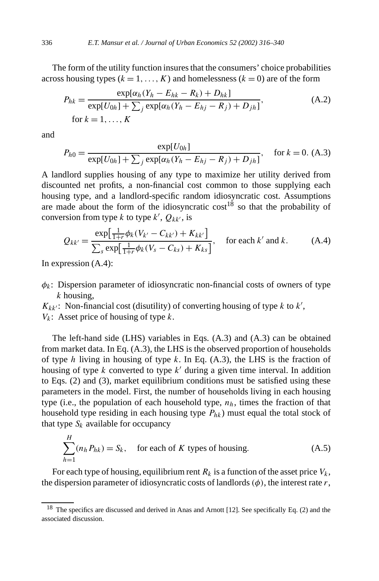The form of the utility function insures that the consumers' choice probabilities across housing types  $(k = 1, ..., K)$  and homelessness  $(k = 0)$  are of the form

$$
P_{hk} = \frac{\exp[\alpha_h (Y_h - E_{hk} - R_k) + D_{hk}]}{\exp[U_{0h}] + \sum_j \exp[\alpha_h (Y_h - E_{hj} - R_j) + D_{jh}]},
$$
\nfor  $k = 1, \ldots, K$ 

\n(A.2)

and

$$
P_{h0} = \frac{\exp[U_{0h}]}{\exp[U_{0h}] + \sum_j \exp[\alpha_h (Y_h - E_{hj} - R_j) + D_{jh}]}, \text{ for } k = 0. \text{ (A.3)}
$$

A landlord supplies housing of any type to maximize her utility derived from discounted net profits, a non-financial cost common to those supplying each housing type, and a landlord-specific random idiosyncratic cost. Assumptions are made about the form of the idiosyncratic  $\cos t^{18}$  so that the probability of conversion from type *k* to type *k'*,  $Q_{kk'}$ , is

$$
Q_{kk'} = \frac{\exp\left[\frac{1}{1+r}\phi_k(V_{k'} - C_{kk'}) + K_{kk'}\right]}{\sum_s \exp\left[\frac{1}{1+r}\phi_k(V_s - C_{ks}) + K_{ks}\right]}, \quad \text{for each } k' \text{ and } k. \tag{A.4}
$$

In expression (A.4):

*φk*: Dispersion parameter of idiosyncratic non-financial costs of owners of type *k* housing,

 $K_{kk'}$ : Non-financial cost (disutility) of converting housing of type *k* to *k*<sup>'</sup>, *Vk*: Asset price of housing of type *k*.

The left-hand side (LHS) variables in Eqs. (A.3) and (A.3) can be obtained from market data. In Eq. (A.3), the LHS is the observed proportion of households of type *h* living in housing of type *k*. In Eq. (A.3), the LHS is the fraction of housing of type  $k$  converted to type  $k'$  during a given time interval. In addition to Eqs. (2) and (3), market equilibrium conditions must be satisfied using these parameters in the model. First, the number of households living in each housing type (i.e., the population of each household type,  $n_h$ , times the fraction of that household type residing in each housing type  $P_{hk}$ ) must equal the total stock of that type  $S_k$  available for occupancy

$$
\sum_{h=1}^{H} (n_h P_{hk}) = S_k, \quad \text{for each of } K \text{ types of housing.} \tag{A.5}
$$

For each type of housing, equilibrium rent  $R_k$  is a function of the asset price  $V_k$ , the dispersion parameter of idiosyncratic costs of landlords*(φ)*, the interest rate *r*,

<sup>&</sup>lt;sup>18</sup> The specifics are discussed and derived in Anas and Arnott [12]. See specifically Eq. (2) and the associated discussion.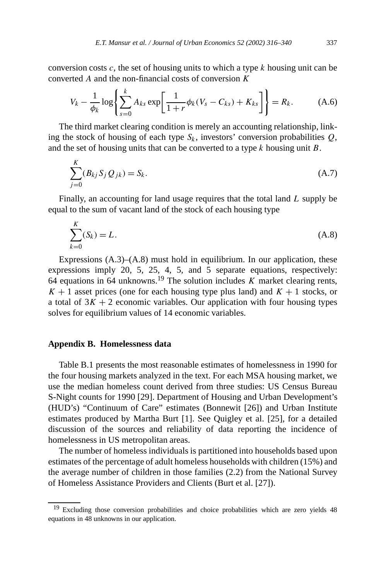conversion costs *c*, the set of housing units to which a type *k* housing unit can be converted *A* and the non-financial costs of conversion *K*

$$
V_k - \frac{1}{\phi_k} \log \left\{ \sum_{s=0}^k A_{ks} \exp \left[ \frac{1}{1+r} \phi_k (V_s - C_{ks}) + K_{ks} \right] \right\} = R_k.
$$
 (A.6)

The third market clearing condition is merely an accounting relationship, linking the stock of housing of each type  $S_k$ , investors' conversion probabilities  $Q$ , and the set of housing units that can be converted to a type *k* housing unit *B*.

$$
\sum_{j=0}^{K} (B_{kj} S_j Q_{jk}) = S_k.
$$
\n(A.7)

Finally, an accounting for land usage requires that the total land *L* supply be equal to the sum of vacant land of the stock of each housing type

$$
\sum_{k=0}^{K} (S_k) = L. \tag{A.8}
$$

Expressions  $(A.3)$ – $(A.8)$  must hold in equilibrium. In our application, these expressions imply 20, 5, 25, 4, 5, and 5 separate equations, respectively: 64 equations in 64 unknowns.<sup>19</sup> The solution includes  $K$  market clearing rents,  $K + 1$  asset prices (one for each housing type plus land) and  $K + 1$  stocks, or a total of  $3K + 2$  economic variables. Our application with four housing types solves for equilibrium values of 14 economic variables.

## **Appendix B. Homelessness data**

Table B.1 presents the most reasonable estimates of homelessness in 1990 for the four housing markets analyzed in the text. For each MSA housing market, we use the median homeless count derived from three studies: US Census Bureau S-Night counts for 1990 [29]. Department of Housing and Urban Development's (HUD's) "Continuum of Care" estimates (Bonnewit [26]) and Urban Institute estimates produced by Martha Burt [1]. See Quigley et al. [25], for a detailed discussion of the sources and reliability of data reporting the incidence of homelessness in US metropolitan areas.

The number of homeless individuals is partitioned into households based upon estimates of the percentage of adult homeless households with children (15%) and the average number of children in those families (2.2) from the National Survey of Homeless Assistance Providers and Clients (Burt et al. [27]).

<sup>&</sup>lt;sup>19</sup> Excluding those conversion probabilities and choice probabilities which are zero yields 48 equations in 48 unknowns in our application.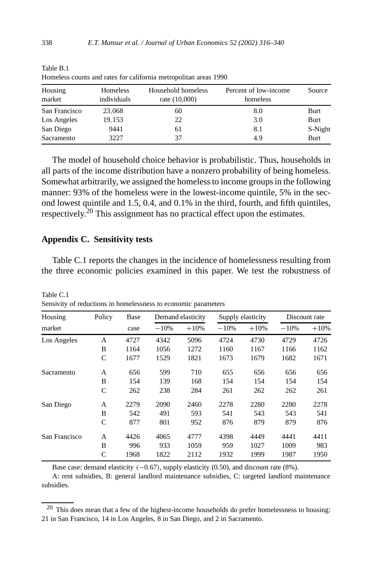| Housing<br>market | Homeless<br>individuals | Household homeless<br>rate (10,000) | Percent of low-income<br>homeless | Source  |
|-------------------|-------------------------|-------------------------------------|-----------------------------------|---------|
| San Francisco     | 23,068                  | 60                                  | 8.0                               | Burt    |
| Los Angeles       | 19,153                  | 22                                  | 3.0                               | Burt    |
| San Diego         | 9441                    | 61                                  | 8.1                               | S-Night |
| Sacramento        | 3227                    | 37                                  | 4.9                               | Burt    |

Table B.1 Homeless counts and rates for california metropolitan areas 1990

The model of household choice behavior is probabilistic. Thus, households in all parts of the income distribution have a nonzero probability of being homeless. Somewhat arbitrarily, we assigned the homeless to income groups in the following manner: 93% of the homeless were in the lowest-income quintile, 5% in the second lowest quintile and 1.5, 0.4, and 0.1% in the third, fourth, and fifth quintiles, respectively.<sup>20</sup> This assignment has no practical effect upon the estimates.

# **Appendix C. Sensitivity tests**

 $T<sub>11</sub>$  C.1

Table C.1 reports the changes in the incidence of homelessness resulting from the three economic policies examined in this paper. We test the robustness of

| Housing       | Policy       | Base | Demand elasticity |        | Supply elasticity |        | Discount rate |        |
|---------------|--------------|------|-------------------|--------|-------------------|--------|---------------|--------|
| market        |              | case | $-10%$            | $+10%$ | $-10%$            | $+10%$ | $-10%$        | $+10%$ |
| Los Angeles   | А            | 4727 | 4342              | 5096   | 4724              | 4730   | 4729          | 4726   |
|               | B            | 1164 | 1056              | 1272   | 1160              | 1167   | 1166          | 1162   |
|               | $\mathsf{C}$ | 1677 | 1529              | 1821   | 1673              | 1679   | 1682          | 1671   |
| Sacramento    | А            | 656  | 599               | 710    | 655               | 656    | 656           | 656    |
|               | B            | 154  | 139               | 168    | 154               | 154    | 154           | 154    |
|               | $\mathsf{C}$ | 262  | 238               | 284    | 261               | 262    | 262           | 261    |
| San Diego     | А            | 2279 | 2090              | 2460   | 2278              | 2280   | 2280          | 2278   |
|               | B            | 542  | 491               | 593    | 541               | 543    | 543           | 541    |
|               | C            | 877  | 801               | 952    | 876               | 879    | 879           | 876    |
| San Francisco | A            | 4426 | 4065              | 4777   | 4398              | 4449   | 4441          | 4411   |
|               | B            | 996  | 933               | 1059   | 959               | 1027   | 1009          | 983    |
|               | C            | 1968 | 1822              | 2112   | 1932              | 1999   | 1987          | 1950   |
|               |              |      |                   |        |                   |        |               |        |

| Tadie C.T                                                      |  |  |
|----------------------------------------------------------------|--|--|
| Sensivity of reductions in homelessness to economic parameters |  |  |

Base case: demand elasticity *(*−0*.*67*)*, supply elasticity (0.50), and discount rate (8%).

A: rent subsidies, B: general landlord maintenance subsidies, C: targeted landlord maintenance subsidies.

<sup>20</sup> This does mean that a few of the highest-income households do prefer homelessness to housing: 21 in San Francisco, 14 in Los Angeles, 8 in San Diego, and 2 in Sacramento.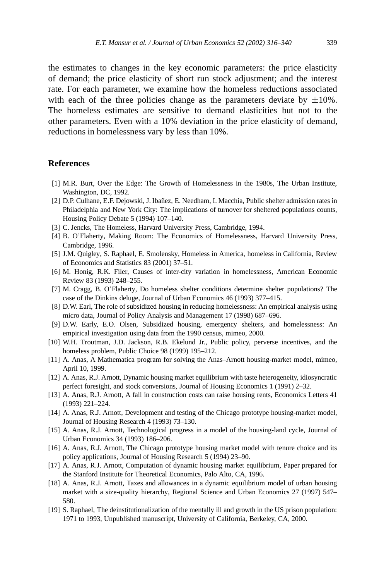the estimates to changes in the key economic parameters: the price elasticity of demand; the price elasticity of short run stock adjustment; and the interest rate. For each parameter, we examine how the homeless reductions associated with each of the three policies change as the parameters deviate by  $\pm 10\%$ . The homeless estimates are sensitive to demand elasticities but not to the other parameters. Even with a 10% deviation in the price elasticity of demand, reductions in homelessness vary by less than 10%.

## **References**

- [1] M.R. Burt, Over the Edge: The Growth of Homelessness in the 1980s, The Urban Institute, Washington, DC, 1992.
- [2] D.P. Culhane, E.F. Dejowski, J. Ibañez, E. Needham, I. Macchia, Public shelter admission rates in Philadelphia and New York City: The implications of turnover for sheltered populations counts, Housing Policy Debate 5 (1994) 107–140.
- [3] C. Jencks, The Homeless, Harvard University Press, Cambridge, 1994.
- [4] B. O'Flaherty, Making Room: The Economics of Homelessness, Harvard University Press, Cambridge, 1996.
- [5] J.M. Quigley, S. Raphael, E. Smolensky, Homeless in America, homeless in California, Review of Economics and Statistics 83 (2001) 37–51.
- [6] M. Honig, R.K. Filer, Causes of inter-city variation in homelessness, American Economic Review 83 (1993) 248–255.
- [7] M. Cragg, B. O'Flaherty, Do homeless shelter conditions determine shelter populations? The case of the Dinkins deluge, Journal of Urban Economics 46 (1993) 377–415.
- [8] D.W. Earl, The role of subsidized housing in reducing homelessness: An empirical analysis using micro data, Journal of Policy Analysis and Management 17 (1998) 687–696.
- [9] D.W. Early, E.O. Olsen, Subsidized housing, emergency shelters, and homelessness: An empirical investigation using data from the 1990 census, mimeo, 2000.
- [10] W.H. Troutman, J.D. Jackson, R.B. Ekelund Jr., Public policy, perverse incentives, and the homeless problem, Public Choice 98 (1999) 195–212.
- [11] A. Anas, A Mathematica program for solving the Anas–Arnott housing-market model, mimeo, April 10, 1999.
- [12] A. Anas, R.J. Arnott, Dynamic housing market equilibrium with taste heterogeneity, idiosyncratic perfect foresight, and stock conversions, Journal of Housing Economics 1 (1991) 2–32.
- [13] A. Anas, R.J. Arnott, A fall in construction costs can raise housing rents, Economics Letters 41 (1993) 221–224.
- [14] A. Anas, R.J. Arnott, Development and testing of the Chicago prototype housing-market model, Journal of Housing Research 4 (1993) 73–130.
- [15] A. Anas, R.J. Arnott, Technological progress in a model of the housing-land cycle, Journal of Urban Economics 34 (1993) 186–206.
- [16] A. Anas, R.J. Arnott, The Chicago prototype housing market model with tenure choice and its policy applications, Journal of Housing Research 5 (1994) 23–90.
- [17] A. Anas, R.J. Arnott, Computation of dynamic housing market equilibrium, Paper prepared for the Stanford Institute for Theoretical Economics, Palo Alto, CA, 1996.
- [18] A. Anas, R.J. Arnott, Taxes and allowances in a dynamic equilibrium model of urban housing market with a size-quality hierarchy, Regional Science and Urban Economics 27 (1997) 547– 580.
- [19] S. Raphael, The deinstitutionalization of the mentally ill and growth in the US prison population: 1971 to 1993, Unpublished manuscript, University of California, Berkeley, CA, 2000.